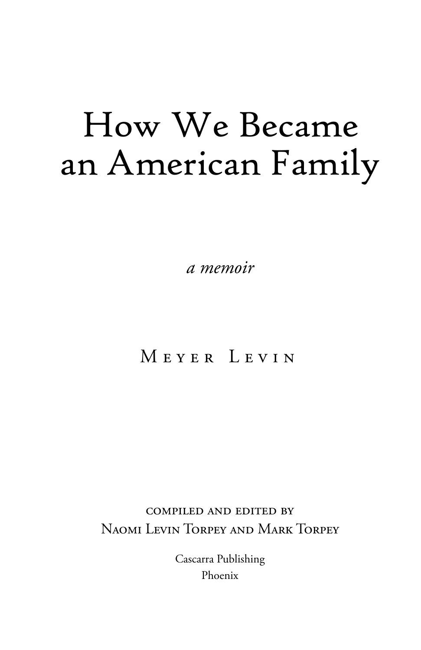## How We Became an American Family

*a memoir* 

## M e y e r L e v i n

compiled and edited by Naomi Levin Torpey and Mark Torpey

> Cascarra Publishing Phoenix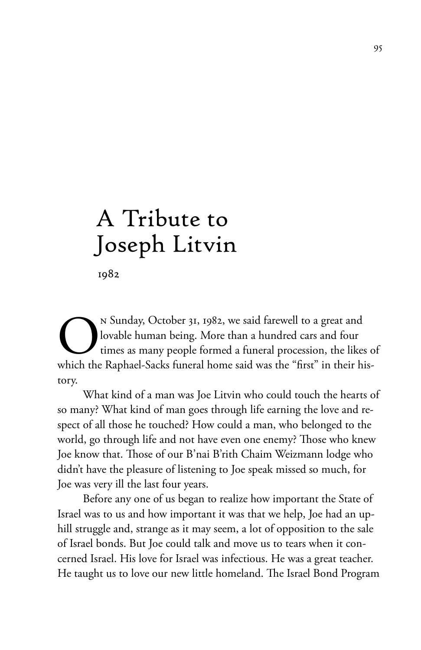## A Tribute to Joseph Litvin

1982

n Sunday, October 31, 1982, we said farewell to a great and lovable human being. More than a hundred cars and four times as many people formed a funeral procession, the likes of Which the Raphael-Sacks funeral home said farewell to a great and four times as many people formed a funeral procession, the likes combich the Raphael-Sacks funeral home said was the "first" in their history.

What kind of a man was Joe Litvin who could touch the hearts of so many? What kind of man goes through life earning the love and respect of all those he touched? How could a man, who belonged to the world, go through life and not have even one enemy? Those who knew Joe know that. Those of our B'nai B'rith Chaim Weizmann lodge who didn't have the pleasure of listening to Joe speak missed so much, for Joe was very ill the last four years.

Before any one of us began to realize how important the State of Israel was to us and how important it was that we help, Joe had an uphill struggle and, strange as it may seem, a lot of opposition to the sale of Israel bonds. But Joe could talk and move us to tears when it concerned Israel. His love for Israel was infectious. He was a great teacher. He taught us to love our new little homeland. The Israel Bond Program